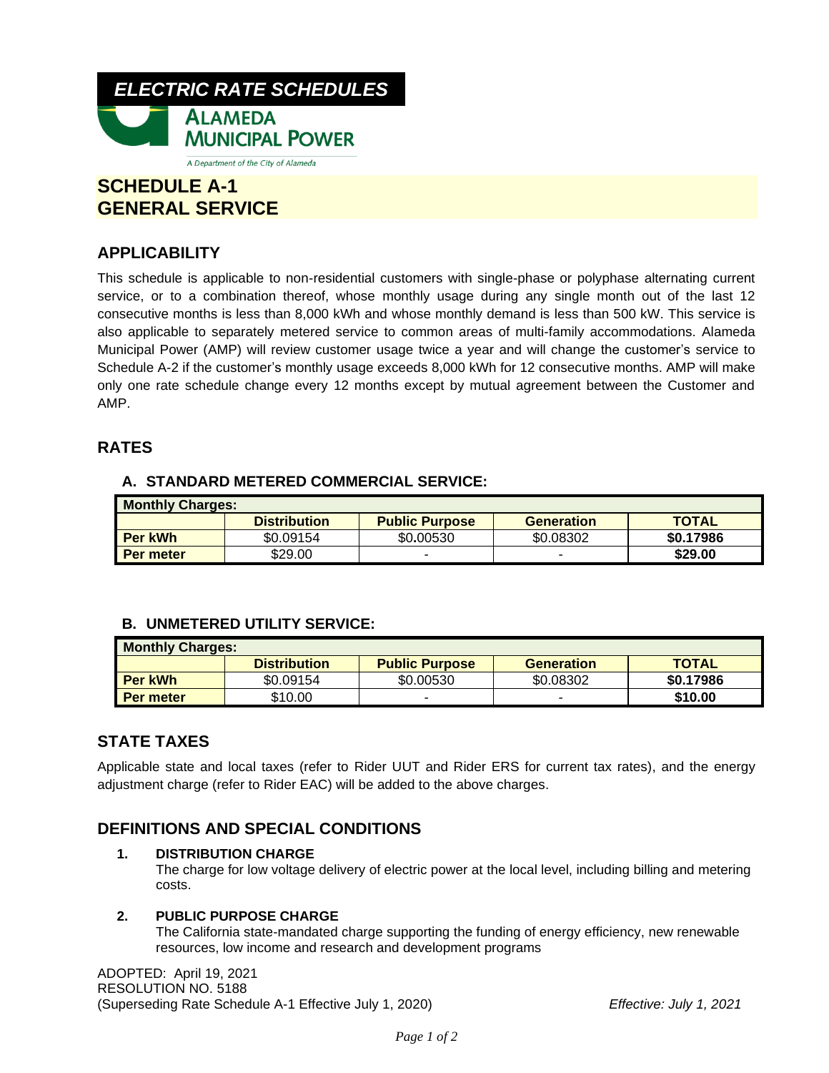

# **SCHEDULE A-1 GENERAL SERVICE**

## **APPLICABILITY**

This schedule is applicable to non-residential customers with single-phase or polyphase alternating current service, or to a combination thereof, whose monthly usage during any single month out of the last 12 consecutive months is less than 8,000 kWh and whose monthly demand is less than 500 kW. This service is also applicable to separately metered service to common areas of multi-family accommodations. Alameda Municipal Power (AMP) will review customer usage twice a year and will change the customer's service to Schedule A-2 if the customer's monthly usage exceeds 8,000 kWh for 12 consecutive months. AMP will make only one rate schedule change every 12 months except by mutual agreement between the Customer and AMP.

## **RATES**

## **A. STANDARD METERED COMMERCIAL SERVICE:**

| <b>Monthly Charges:</b> |                     |                       |                   |              |  |  |  |
|-------------------------|---------------------|-----------------------|-------------------|--------------|--|--|--|
|                         | <b>Distribution</b> | <b>Public Purpose</b> | <b>Generation</b> | <b>TOTAL</b> |  |  |  |
| Per kWh                 | \$0.09154           | \$0.00530             | \$0.08302         | \$0.17986    |  |  |  |
| Per meter               | \$29.00             |                       | -                 | \$29.00      |  |  |  |

## **B. UNMETERED UTILITY SERVICE:**

| <b>Monthly Charges:</b> |                     |                       |                   |              |  |  |  |
|-------------------------|---------------------|-----------------------|-------------------|--------------|--|--|--|
|                         | <b>Distribution</b> | <b>Public Purpose</b> | <b>Generation</b> | <b>TOTAL</b> |  |  |  |
| <b>Per kWh</b>          | \$0.09154           | \$0.00530             | \$0.08302         | \$0.17986    |  |  |  |
| Per meter               | \$10.00             |                       | -                 | \$10.00      |  |  |  |

## **STATE TAXES**

Applicable state and local taxes (refer to Rider UUT and Rider ERS for current tax rates), and the energy adjustment charge (refer to Rider EAC) will be added to the above charges.

## **DEFINITIONS AND SPECIAL CONDITIONS**

### **1. DISTRIBUTION CHARGE**

The charge for low voltage delivery of electric power at the local level, including billing and metering costs.

### **2. PUBLIC PURPOSE CHARGE**

The California state-mandated charge supporting the funding of energy efficiency, new renewable resources, low income and research and development programs

ADOPTED: April 19, 2021 RESOLUTION NO. 5188 (Superseding Rate Schedule A-1 Effective July 1, 2020) *Effective: July 1, 2021*